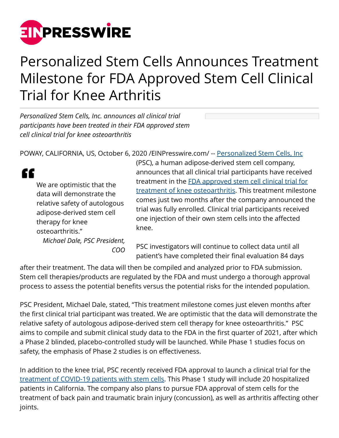

## Personalized Stem Cells Announces Treatment Milestone for FDA Approved Stem Cell Clinical Trial for Knee Arthritis

*Personalized Stem Cells, Inc. announces all clinical trial participants have been treated in their FDA approved stem cell clinical trial for knee osteoarthritis*

POWAY, CALIFORNIA, US, October 6, 2020 [/EINPresswire.com/](http://www.einpresswire.com) -- [Personalized Stem Cells, Inc](https://personalizedstemcells.com/)

"

We are optimistic that the data will demonstrate the relative safety of autologous adipose-derived stem cell therapy for knee osteoarthritis." *Michael Dale, PSC President,*

*COO*

(PSC), a human adipose-derived stem cell company, announces that all clinical trial participants have received treatment in the [FDA approved stem cell clinical trial for](https://personalizedstemcells.com/clinical-trials/current-clinical-trials/) [treatment of knee osteoarthritis](https://personalizedstemcells.com/clinical-trials/current-clinical-trials/). This treatment milestone comes just two months after the company announced the trial was fully enrolled. Clinical trial participants received one injection of their own stem cells into the affected knee.

PSC investigators will continue to collect data until all patient's have completed their final evaluation 84 days

after their treatment. The data will then be compiled and analyzed prior to FDA submission. Stem cell therapies/products are regulated by the FDA and must undergo a thorough approval process to assess the potential benefits versus the potential risks for the intended population.

PSC President, Michael Dale, stated, "This treatment milestone comes just eleven months after the first clinical trial participant was treated. We are optimistic that the data will demonstrate the relative safety of autologous adipose-derived stem cell therapy for knee osteoarthritis." PSC aims to compile and submit clinical study data to the FDA in the first quarter of 2021, after which a Phase 2 blinded, placebo-controlled study will be launched. While Phase 1 studies focus on safety, the emphasis of Phase 2 studies is on effectiveness.

In addition to the knee trial, PSC recently received FDA approval to launch a clinical trial for the [treatment of COVID-19 patients with stem cells.](https://www.einpresswire.com/article/522277145/personalized-stem-cells-receives-fda-approval-to-treat-covid-19-patients) This Phase 1 study will include 20 hospitalized patients in California. The company also plans to pursue FDA approval of stem cells for the treatment of back pain and traumatic brain injury (concussion), as well as arthritis affecting other joints.